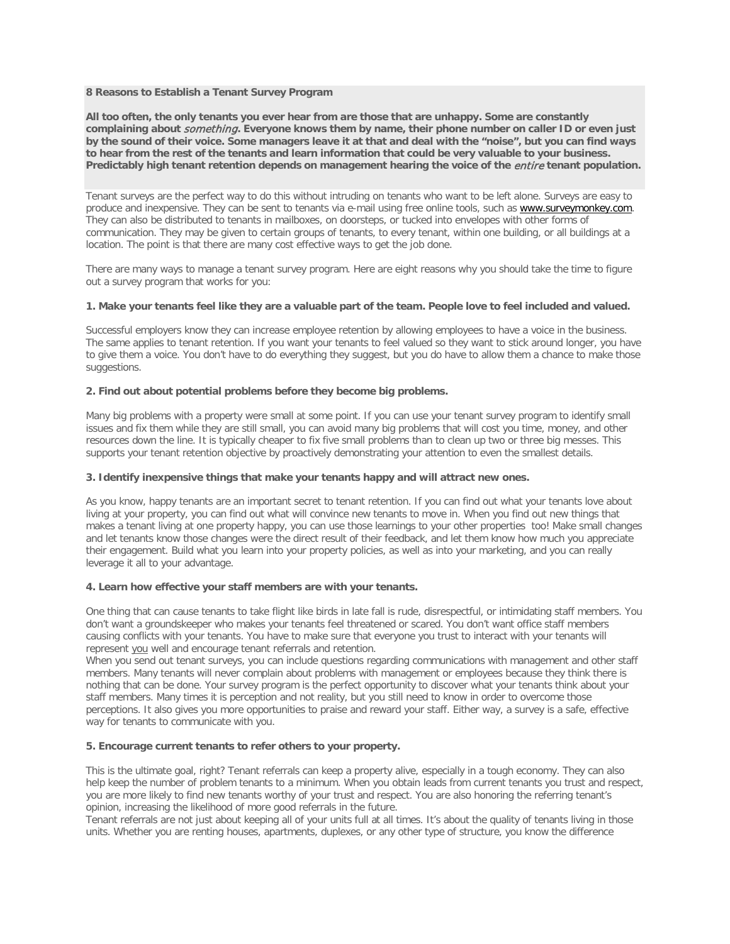# **8 Reasons to Establish a Tenant Survey Program**

**All too often, the only tenants you ever hear from are those that are unhappy. Some are constantly complaining about** something**. Everyone knows them by name, their phone number on caller ID or even just by the sound of their voice. Some managers leave it at that and deal with the "noise", but you can find ways to hear from the rest of the tenants and learn information that could be very valuable to your business. Predictably high tenant retention depends on management hearing the voice of the** entire **tenant population.**

Tenant surveys are the perfect way to do this without intruding on tenants who want to be left alone. Surveys are easy to produce and inexpensive. They can be sent to tenants via e-mail using free online tools, such as [www.surveymonkey.com.](http://www.surveymonkey.com/) They can also be distributed to tenants in mailboxes, on doorsteps, or tucked into envelopes with other forms of communication. They may be given to certain groups of tenants, to every tenant, within one building, or all buildings at a location. The point is that there are many cost effective ways to get the job done.

There are many ways to manage a tenant survey program. Here are eight reasons why you should take the time to figure out a survey program that works for you:

## **1. Make your tenants feel like they are a valuable part of the team. People love to feel included and valued.**

Successful employers know they can increase employee retention by allowing employees to have a voice in the business. The same applies to tenant retention. If you want your tenants to feel valued so they want to stick around longer, you have to give them a voice. You don't have to do everything they suggest, but you do have to allow them a chance to make those suggestions.

## **2. Find out about potential problems before they become big problems.**

Many big problems with a property were small at some point. If you can use your tenant survey program to identify small issues and fix them while they are still small, you can avoid many big problems that will cost you time, money, and other resources down the line. It is typically cheaper to fix five small problems than to clean up two or three big messes. This supports your tenant retention objective by proactively demonstrating your attention to even the smallest details.

## **3. Identify inexpensive things that make your tenants happy and will attract new ones.**

As you know, happy tenants are an important secret to tenant retention. If you can find out what your tenants love about living at your property, you can find out what will convince new tenants to move in. When you find out new things that makes a tenant living at one property happy, you can use those learnings to your other properties too! Make small changes and let tenants know those changes were the direct result of their feedback, and let them know how much you appreciate their engagement. Build what you learn into your property policies, as well as into your marketing, and you can really leverage it all to your advantage.

#### **4. Learn how effective your staff members are with your tenants.**

One thing that can cause tenants to take flight like birds in late fall is rude, disrespectful, or intimidating staff members. You don't want a groundskeeper who makes your tenants feel threatened or scared. You don't want office staff members causing conflicts with your tenants. You have to make sure that everyone you trust to interact with your tenants will represent you well and encourage tenant referrals and retention.

When you send out tenant surveys, you can include questions regarding communications with management and other staff members. Many tenants will never complain about problems with management or employees because they think there is nothing that can be done. Your survey program is the perfect opportunity to discover what your tenants think about your staff members. Many times it is perception and not reality, but you still need to know in order to overcome those perceptions. It also gives you more opportunities to praise and reward your staff. Either way, a survey is a safe, effective way for tenants to communicate with you.

# **5. Encourage current tenants to refer others to your property.**

This is the ultimate goal, right? Tenant referrals can keep a property alive, especially in a tough economy. They can also help keep the number of problem tenants to a minimum. When you obtain leads from current tenants you trust and respect, you are more likely to find new tenants worthy of your trust and respect. You are also honoring the referring tenant's opinion, increasing the likelihood of more good referrals in the future.

Tenant referrals are not just about keeping all of your units full at all times. It's about the quality of tenants living in those units. Whether you are renting houses, apartments, duplexes, or any other type of structure, you know the difference